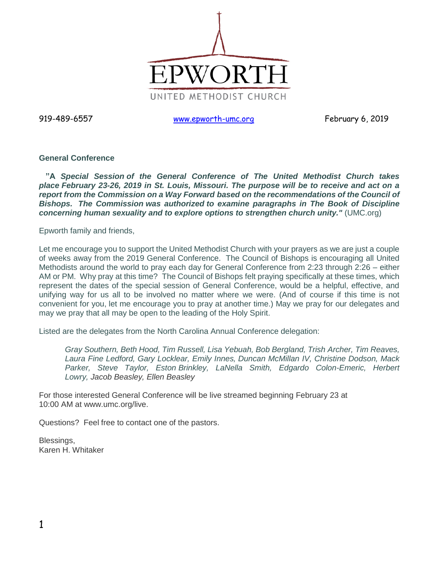

919-489-6557 [www.epworth-umc.org](http://www.epworth-umc.org/) February 6, 2019

## **General Conference**

 **"A** *Special Session of the General Conference of The United Methodist Church takes place February 23-26, 2019 in St. Louis, Missouri. The purpose will be to receive and act on a report from the Commission on a Way Forward based on the recommendations of the Council of Bishops. The Commission was authorized to examine paragraphs in The Book of Discipline concerning human sexuality and to explore options to strengthen church unity."* (UMC.org)

Epworth family and friends,

Let me encourage you to support the United Methodist Church with your prayers as we are just a couple of weeks away from the 2019 General Conference. The Council of Bishops is encouraging all United Methodists around the world to pray each day for General Conference from 2:23 through 2:26 – either AM or PM. Why pray at this time? The Council of Bishops felt praying specifically at these times, which represent the dates of the special session of General Conference, would be a helpful, effective, and unifying way for us all to be involved no matter where we were. (And of course if this time is not convenient for you, let me encourage you to pray at another time.) May we pray for our delegates and may we pray that all may be open to the leading of the Holy Spirit.

Listed are the delegates from the North Carolina Annual Conference delegation:

*Gray Southern, Beth Hood, Tim Russell, Lisa Yebuah, Bob Bergland, Trish Archer, Tim Reaves, Laura Fine Ledford, Gary Locklear, Emily Innes, Duncan McMillan IV, Christine Dodson, Mack Parker, Steve Taylor, Eston Brinkley, LaNella Smith, Edgardo Colon-Emeric, Herbert Lowry, Jacob Beasley, Ellen Beasley*

For those interested General Conference will be live streamed beginning February 23 at 10:00 AM at www.umc.org/live.

Questions? Feel free to contact one of the pastors.

Blessings, Karen H. Whitaker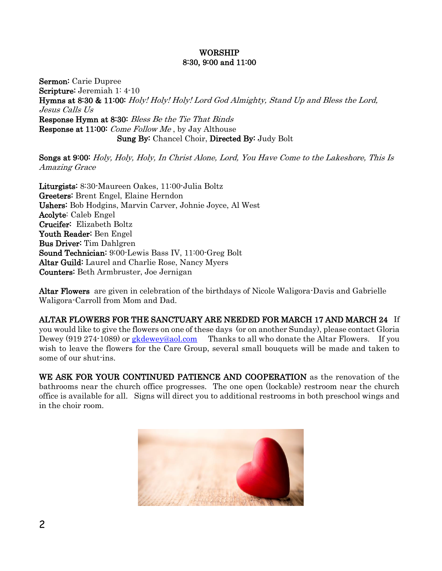# WORSHIP 8:30, 9:00 and 11:00

Sermon: Carie Dupree Scripture: Jeremiah 1: 4-10 Hymns at 8:30 & 11:00: Holy! Holy! Holy! Lord God Almighty, Stand Up and Bless the Lord, Jesus Calls Us Response Hymn at 8:30: Bless Be the Tie That Binds Response at 11:00: Come Follow Me , by Jay Althouse Sung By: Chancel Choir, Directed By: Judy Bolt

Songs at 9:00: Holy, Holy, Holy, In Christ Alone, Lord, You Have Come to the Lakeshore, This Is Amazing Grace

Liturgists: 8:30-Maureen Oakes, 11:00-Julia Boltz Greeters: Brent Engel, Elaine Herndon Ushers: Bob Hodgins, Marvin Carver, Johnie Joyce, Al West Acolyte: Caleb Engel Crucifer: Elizabeth Boltz Youth Reader: Ben Engel Bus Driver: Tim Dahlgren Sound Technician: 9:00-Lewis Bass IV, 11:00-Greg Bolt Altar Guild: Laurel and Charlie Rose, Nancy Myers Counters: Beth Armbruster, Joe Jernigan

Altar Flowers are given in celebration of the birthdays of Nicole Waligora-Davis and Gabrielle Waligora-Carroll from Mom and Dad.

ALTAR FLOWERS FOR THE SANCTUARY ARE NEEDED FOR MARCH 17 AND MARCH 24 If you would like to give the flowers on one of these days (or on another Sunday), please contact Gloria Dewey (919 274-1089) or [gkdewey@aol.com](mailto:gkdewey@aol.com) Thanks to all who donate the Altar Flowers. If you wish to leave the flowers for the Care Group, several small bouquets will be made and taken to some of our shut-ins.

WE ASK FOR YOUR CONTINUED PATIENCE AND COOPERATION as the renovation of the bathrooms near the church office progresses. The one open (lockable) restroom near the church office is available for all. Signs will direct you to additional restrooms in both preschool wings and in the choir room.

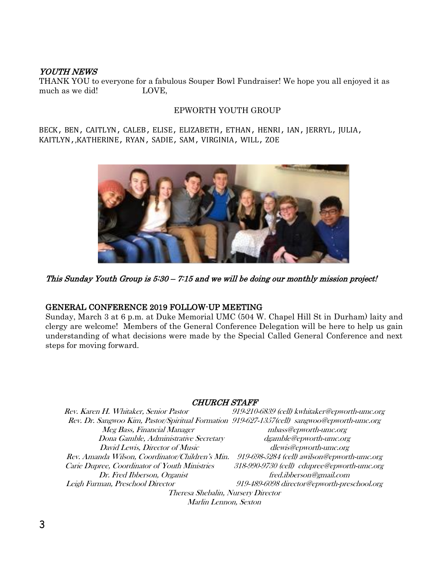# YOUTH NEWS

THANK YOU to everyone for a fabulous Souper Bowl Fundraiser! We hope you all enjoyed it as much as we did! LOVE,

## EPWORTH YOUTH GROUP

BECK, BEN, CAITLYN, CALEB, ELISE, ELIZABETH, ETHAN, HENRI, IAN, JERRYL, JULIA, KAITLYN,,KATHERINE, RYAN, SADIE, SAM, VIRGINIA, WILL, ZOE



This Sunday Youth Group is 5:30 – 7:15 and we will be doing our monthly mission project!

### GENERAL CONFERENCE 2019 FOLLOW-UP MEETING

Sunday, March 3 at 6 p.m. at Duke Memorial UMC (504 W. Chapel Hill St in Durham) laity and clergy are welcome! Members of the General Conference Delegation will be here to help us gain understanding of what decisions were made by the Special Called General Conference and next steps for moving forward.

### CHURCH STAFF

| Rev. Karen H. Whitaker, Senior Pastor                                                       | 919-210-6839 (cell) kwhitaker@epworth-umc.org |  |  |  |  |
|---------------------------------------------------------------------------------------------|-----------------------------------------------|--|--|--|--|
| Rev. Dr. Sangwoo Kim, Pastor/Spiritual Formation 919-627-1357(cell) sangwoo@epworth-umc.org |                                               |  |  |  |  |
| Meg Bass, Financial Manager                                                                 | mbass@epworth-umc.org                         |  |  |  |  |
| Dona Gamble, Administrative Secretary                                                       | dgamble@epworth-umc.org                       |  |  |  |  |
| David Lewis, Director of Music                                                              | dlewis@epworth-umc.org                        |  |  |  |  |
| Rev. Amanda Wilson, Coordinator/Children's Min.                                             | 919-698-5284 (cell) awilson@epworth-umc.org   |  |  |  |  |
| Carie Dupree, Coordinator of Youth Ministries                                               | 318-990-9730 (cell) cdupree@epworth-umc.org   |  |  |  |  |
| Dr. Fred Ibberson, Organist                                                                 | fred.ibberson@gmail.com                       |  |  |  |  |
| Leigh Furman, Preschool Director                                                            | 919-489-6098 director@epworth-preschool.org   |  |  |  |  |
| Theresa Shebalin, Nursery Director                                                          |                                               |  |  |  |  |
| Marlin Lennon, Sexton                                                                       |                                               |  |  |  |  |